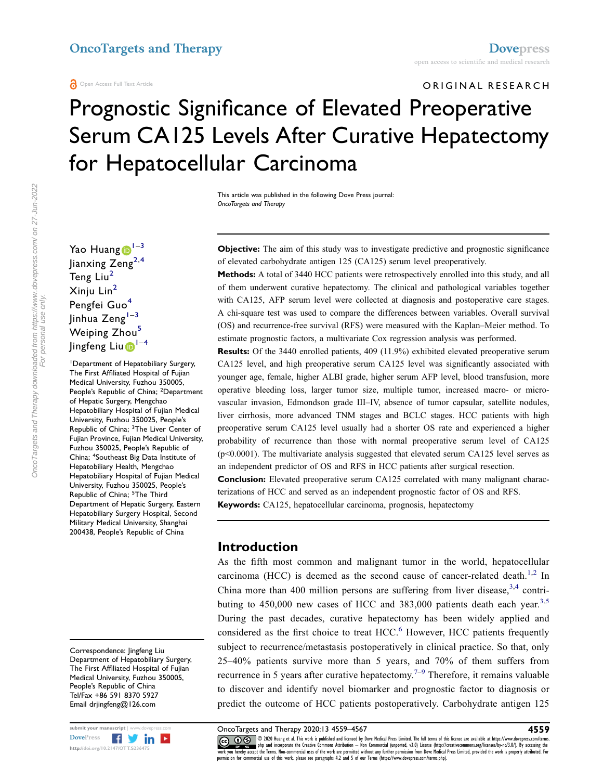ORIGINAL RESEARCH

# Prognostic Significance of Elevated Preoperative Serum CA125 Levels After Curative Hepatectomy for Hepatocellular Carcinoma

This article was published in the following Dove Press journal: OncoTargets and Therapy

Yao Huang  $1-3$  $1-3$  $1-3$ Jianxing  $\text{Zeng}^{2,4}$  $\text{Zeng}^{2,4}$  $\text{Zeng}^{2,4}$  $\text{Zeng}^{2,4}$ Teng Liu<sup>[2](#page-0-2)</sup> Xinju Lin[2](#page-0-2) Pengfei Guo<sup>[4](#page-0-3)</sup> Jinhua Zeng $1-3$  $1-3$  $1-3$ Weiping Zhou<sup>[5](#page-0-4)</sup> Jingfeng Liu D<sup>[1](#page-0-0)-[4](#page-0-3)</sup>

<span id="page-0-4"></span><span id="page-0-3"></span><span id="page-0-2"></span><span id="page-0-1"></span><span id="page-0-0"></span>1 Department of Hepatobiliary Surgery, The First Affiliated Hospital of Fujian Medical University, Fuzhou 350005, People's Republic of China; <sup>2</sup>Department of Hepatic Surgery, Mengchao Hepatobiliary Hospital of Fujian Medical University, Fuzhou 350025, People's Republic of China; <sup>3</sup>The Liver Center of Fujian Province, Fujian Medical University, Fuzhou 350025, People's Republic of China; <sup>4</sup>Southeast Big Data Institute of Hepatobiliary Health, Mengchao Hepatobiliary Hospital of Fujian Medical University, Fuzhou 350025, People's Republic of China; <sup>5</sup>The Third Department of Hepatic Surgery, Eastern Hepatobiliary Surgery Hospital, Second Military Medical University, Shanghai 200438, People's Republic of China

Correspondence: Jingfeng Liu Department of Hepatobiliary Surgery, The First Affiliated Hospital of Fujian Medical University, Fuzhou 350005, People's Republic of China Tel/Fax +86 591 8370 5927 Email drjingfeng@126.com



Objective: The aim of this study was to investigate predictive and prognostic significance of elevated carbohydrate antigen 125 (CA125) serum level preoperatively.

Methods: A total of 3440 HCC patients were retrospectively enrolled into this study, and all of them underwent curative hepatectomy. The clinical and pathological variables together with CA125, AFP serum level were collected at diagnosis and postoperative care stages. A chi-square test was used to compare the differences between variables. Overall survival (OS) and recurrence-free survival (RFS) were measured with the Kaplan–Meier method. To estimate prognostic factors, a multivariate Cox regression analysis was performed.

Results: Of the 3440 enrolled patients, 409 (11.9%) exhibited elevated preoperative serum CA125 level, and high preoperative serum CA125 level was significantly associated with younger age, female, higher ALBI grade, higher serum AFP level, blood transfusion, more operative bleeding loss, larger tumor size, multiple tumor, increased macro- or microvascular invasion, Edmondson grade III–IV, absence of tumor capsular, satellite nodules, liver cirrhosis, more advanced TNM stages and BCLC stages. HCC patients with high preoperative serum CA125 level usually had a shorter OS rate and experienced a higher probability of recurrence than those with normal preoperative serum level of CA125 (p<0.0001). The multivariate analysis suggested that elevated serum CA125 level serves as an independent predictor of OS and RFS in HCC patients after surgical resection.

Conclusion: Elevated preoperative serum CA125 correlated with many malignant characterizations of HCC and served as an independent prognostic factor of OS and RFS.

Keywords: CA125, hepatocellular carcinoma, prognosis, hepatectomy

#### Introduction

<span id="page-0-8"></span><span id="page-0-7"></span><span id="page-0-6"></span><span id="page-0-5"></span>As the fifth most common and malignant tumor in the world, hepatocellular carcinoma (HCC) is deemed as the second cause of cancer-related death.<sup>[1](#page-7-0)[,2](#page-7-1)</sup> In China more than 400 million persons are suffering from liver disease,  $3,4$  $3,4$  contributing to  $450,000$  new cases of HCC and  $383,000$  $383,000$  patients death each year.<sup>3[,5](#page-7-4)</sup> During the past decades, curative hepatectomy has been widely applied and considered as the first choice to treat HCC.<sup>[6](#page-7-5)</sup> However, HCC patients frequently subject to recurrence/metastasis postoperatively in clinical practice. So that, only 25–40% patients survive more than 5 years, and 70% of them suffers from recurrence in 5 years after curative hepatectomy.<sup> $7-9$  $7-9$  $7-9$ </sup> Therefore, it remains valuable to discover and identify novel biomarker and prognostic factor to diagnosis or predict the outcome of HCC patients postoperatively. Carbohydrate antigen 125

<span id="page-0-9"></span>

submit your manuscript | www.dovepress.com **OncoTargets and Therapy 2020:13 4559–4567** 4567 4569 4567 4569 4567 4569 4567 4569 4569 400 kmag et al. This work is published and licensed by Dove Medical Press Limited. The ful DOVEN ENGINEER OR 1990 2020 Huang et al. This work is published and licensed by Dove Medical Press Limited. The full terms of this license are available at https://www.dovepress.com/terms.<br>http://doi.org/10.2147/OTT.523647 permission for commercial use of this work, please see paragraphs 4.2 and 5 of our Terms (https://www.dovepress.com/terms.php).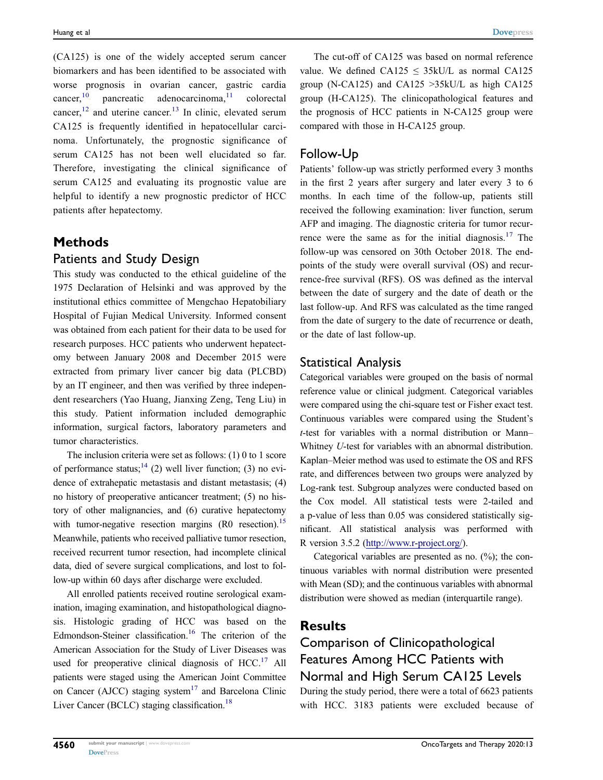<span id="page-1-1"></span><span id="page-1-0"></span>(CA125) is one of the widely accepted serum cancer biomarkers and has been identified to be associated with worse prognosis in ovarian cancer, gastric cardia  $cancer<sub>10</sub>$  $cancer<sub>10</sub>$  $cancer<sub>10</sub>$  pancreatic adenocarcinoma,<sup>[11](#page-7-9)</sup> colorectal cancer, $^{12}$  $^{12}$  $^{12}$  and uterine cancer.<sup>[13](#page-7-11)</sup> In clinic, elevated serum CA125 is frequently identified in hepatocellular carcinoma. Unfortunately, the prognostic significance of serum CA125 has not been well elucidated so far. Therefore, investigating the clinical significance of serum CA125 and evaluating its prognostic value are helpful to identify a new prognostic predictor of HCC patients after hepatectomy.

#### Methods

#### Patients and Study Design

This study was conducted to the ethical guideline of the 1975 Declaration of Helsinki and was approved by the institutional ethics committee of Mengchao Hepatobiliary Hospital of Fujian Medical University. Informed consent was obtained from each patient for their data to be used for research purposes. HCC patients who underwent hepatectomy between January 2008 and December 2015 were extracted from primary liver cancer big data (PLCBD) by an IT engineer, and then was verified by three independent researchers (Yao Huang, Jianxing Zeng, Teng Liu) in this study. Patient information included demographic information, surgical factors, laboratory parameters and tumor characteristics.

<span id="page-1-3"></span><span id="page-1-2"></span>The inclusion criteria were set as follows: (1) 0 to 1 score of performance status;<sup>[14](#page-7-12)</sup> (2) well liver function; (3) no evidence of extrahepatic metastasis and distant metastasis; (4) no history of preoperative anticancer treatment; (5) no history of other malignancies, and (6) curative hepatectomy with tumor-negative resection margins (R0 resection).<sup>15</sup> Meanwhile, patients who received palliative tumor resection, received recurrent tumor resection, had incomplete clinical data, died of severe surgical complications, and lost to follow-up within 60 days after discharge were excluded.

<span id="page-1-6"></span><span id="page-1-4"></span>All enrolled patients received routine serological examination, imaging examination, and histopathological diagnosis. Histologic grading of HCC was based on the Edmondson-Steiner classification.<sup>16</sup> The criterion of the American Association for the Study of Liver Diseases was used for preoperative clinical diagnosis of  $HCC<sup>17</sup>$  $HCC<sup>17</sup>$  $HCC<sup>17</sup>$  All patients were staged using the American Joint Committee on Cancer (AJCC) staging system<sup>[17](#page-7-15)</sup> and Barcelona Clinic Liver Cancer (BCLC) staging classification.<sup>[18](#page-7-16)</sup>

The cut-off of CA125 was based on normal reference value. We defined CA125  $\leq$  35kU/L as normal CA125 group (N-CA125) and CA125 >35kU/L as high CA125 group (H-CA125). The clinicopathological features and the prognosis of HCC patients in N-CA125 group were compared with those in H-CA125 group.

#### Follow-Up

<span id="page-1-5"></span>Patients' follow-up was strictly performed every 3 months in the first 2 years after surgery and later every 3 to 6 months. In each time of the follow-up, patients still received the following examination: liver function, serum AFP and imaging. The diagnostic criteria for tumor recur-rence were the same as for the initial diagnosis.<sup>[17](#page-7-15)</sup> The follow-up was censored on 30th October 2018. The endpoints of the study were overall survival (OS) and recurrence-free survival (RFS). OS was defined as the interval between the date of surgery and the date of death or the last follow-up. And RFS was calculated as the time ranged from the date of surgery to the date of recurrence or death, or the date of last follow-up.

#### Statistical Analysis

Categorical variables were grouped on the basis of normal reference value or clinical judgment. Categorical variables were compared using the chi-square test or Fisher exact test. Continuous variables were compared using the Student's t-test for variables with a normal distribution or Mann– Whitney U-test for variables with an abnormal distribution. Kaplan–Meier method was used to estimate the OS and RFS rate, and differences between two groups were analyzed by Log-rank test. Subgroup analyzes were conducted based on the Cox model. All statistical tests were 2-tailed and a p-value of less than 0.05 was considered statistically significant. All statistical analysis was performed with R version 3.5.2 ([http://www.r-project.org/\)](http://www.r-project.org/).

Categorical variables are presented as no. (%); the continuous variables with normal distribution were presented with Mean (SD); and the continuous variables with abnormal distribution were showed as median (interquartile range).

#### Results

## Comparison of Clinicopathological Features Among HCC Patients with Normal and High Serum CA125 Levels

During the study period, there were a total of 6623 patients with HCC. 3183 patients were excluded because of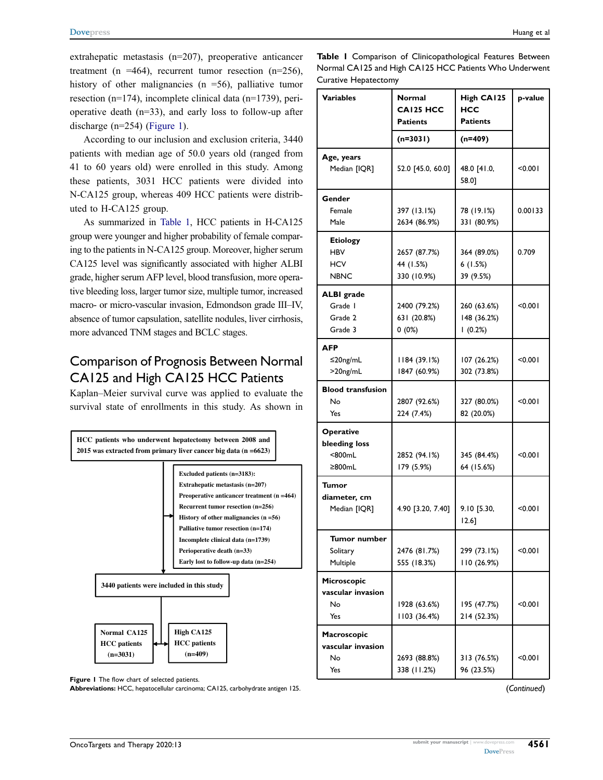extrahepatic metastasis (n=207), preoperative anticancer treatment (n =464), recurrent tumor resection (n=256), history of other malignancies ( $n = 56$ ), palliative tumor resection (n=174), incomplete clinical data (n=1739), perioperative death (n=33), and early loss to follow-up after discharge (n=254) [\(Figure 1\)](#page-2-0).

According to our inclusion and exclusion criteria, 3440 patients with median age of 50.0 years old (ranged from 41 to 60 years old) were enrolled in this study. Among these patients, 3031 HCC patients were divided into N-CA125 group, whereas 409 HCC patients were distributed to H-CA125 group.

As summarized in [Table 1](#page-2-1), HCC patients in H-CA125 group were younger and higher probability of female comparing to the patients in N-CA125 group. Moreover, higher serum CA125 level was significantly associated with higher ALBI grade, higher serum AFP level, blood transfusion, more operative bleeding loss, larger tumor size, multiple tumor, increased macro- or micro-vascular invasion, Edmondson grade III–IV, absence of tumor capsulation, satellite nodules, liver cirrhosis, more advanced TNM stages and BCLC stages.

#### Comparison of Prognosis Between Normal CA125 and High CA125 HCC Patients

Kaplan–Meier survival curve was applied to evaluate the survival state of enrollments in this study. As shown in

<span id="page-2-0"></span>

Figure I The flow chart of selected patients.

Abbreviations: HCC, hepatocellular carcinoma; CA125, carbohydrate antigen 125.

<span id="page-2-1"></span>Table I Comparison of Clinicopathological Features Between Normal CA125 and High CA125 HCC Patients Who Underwent Curative Hepatectomy

| <b>Variables</b>                                           | Normal<br><b>CAI25 HCC</b><br><b>Patients</b> | High CA125<br><b>HCC</b><br><b>Patients</b> | p-value |  |
|------------------------------------------------------------|-----------------------------------------------|---------------------------------------------|---------|--|
|                                                            | $(n=3031)$                                    | $(n=409)$                                   |         |  |
| Age, years<br>Median [IQR]                                 | 52.0 [45.0, 60.0]                             | 48.0 [41.0,<br>58.01                        | < 0.001 |  |
| Gender<br>Female<br>Male                                   | 397 (13.1%)<br>2634 (86.9%)                   | 78 (19.1%)<br>331 (80.9%)                   | 0.00133 |  |
| <b>Etiology</b><br><b>HBV</b><br><b>HCV</b><br><b>NBNC</b> | 2657 (87.7%)<br>44 (1.5%)<br>330 (10.9%)      | 364 (89.0%)<br>6(1.5%)<br>39 (9.5%)         | 0.709   |  |
| <b>ALBI</b> grade<br>Grade I<br>Grade 2<br>Grade 3         | 2400 (79.2%)<br>631 (20.8%)<br>$0(0\%)$       | 260 (63.6%)<br>148 (36.2%)<br>1(0.2%)       | < 0.001 |  |
| <b>AFP</b><br>$\leq$ 20ng/mL<br>$>20$ ng/mL                | 1184 (39.1%)<br>1847 (60.9%)                  | 107 (26.2%)<br>302 (73.8%)                  | < 0.001 |  |
| <b>Blood transfusion</b><br>No<br>Yes                      | 2807 (92.6%)<br>224 (7.4%)                    | 327 (80.0%)<br>82 (20.0%)                   | < 0.001 |  |
| <b>Operative</b><br>bleeding loss<br>$800mL$<br>≥800mL     | 2852 (94.1%)<br>179 (5.9%)                    | 345 (84.4%)<br>64 (15.6%)                   | < 0.001 |  |
| Tumor<br>diameter, cm<br>Median [IQR]                      | 4.90 [3.20, 7.40]                             | 9.10 [5.30,<br>$12.6$ ]                     | < 0.001 |  |
| Tumor number<br>Solitary<br>Multiple                       | 2476 (81.7%)<br>555 (18.3%)                   | 299 (73.1%)<br>110(26.9%)                   | < 0.001 |  |
| Microscopic<br>vascular invasion<br>No<br>Yes              | 1928 (63.6%)<br>1103 (36.4%)                  | 195 (47.7%)<br>214 (52.3%)                  | < 0.001 |  |
| Macroscopic<br>vascular invasion<br>No<br>Yes              | 2693 (88.8%)<br>338 (11.2%)                   | 313 (76.5%)<br>< 0.001<br>96 (23.5%)        |         |  |

(Continued)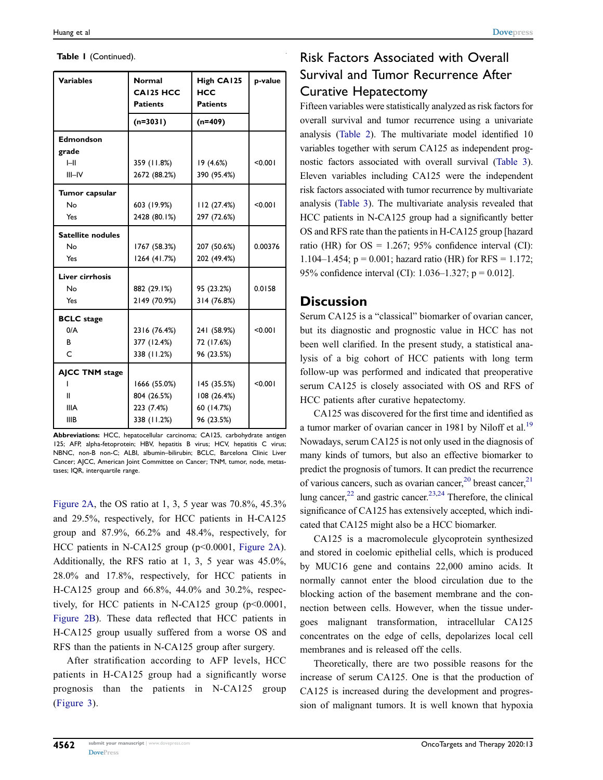| Table I (Continued). |  |
|----------------------|--|
|----------------------|--|

| <b>Variables</b>         | <b>Normal</b><br><b>CAI25 HCC</b><br><b>Patients</b> | High CA125<br><b>HCC</b><br><b>Patients</b> | p-value |
|--------------------------|------------------------------------------------------|---------------------------------------------|---------|
|                          | $(n=3031)$                                           | $(n=409)$                                   |         |
| Edmondson                |                                                      |                                             |         |
| grade                    |                                                      |                                             |         |
| H                        | 359 (11.8%)                                          | 19 (4.6%)                                   | < 0.001 |
| $III - IV$               | 2672 (88.2%)                                         | 390 (95.4%)                                 |         |
| Tumor capsular           |                                                      |                                             |         |
| No                       | 603 (19.9%)                                          | 112 (27.4%)                                 | < 0.001 |
| Yes                      | 2428 (80.1%)                                         | 297 (72.6%)                                 |         |
| <b>Satellite nodules</b> |                                                      |                                             |         |
| No                       | 1767 (58.3%)                                         | 207 (50.6%)                                 | 0.00376 |
| Yes                      | 1264 (41.7%)                                         | 202 (49.4%)                                 |         |
| Liver cirrhosis          |                                                      |                                             |         |
| No                       | 882 (29.1%)                                          | 95 (23.2%)                                  | 0.0158  |
| Yes                      | 2149 (70.9%)                                         | 314 (76.8%)                                 |         |
| <b>BCLC</b> stage        |                                                      |                                             |         |
| 0/A                      | 2316 (76.4%)                                         | 241 (58.9%)                                 | < 0.001 |
| в                        | 377 (12.4%)                                          | 72 (17.6%)                                  |         |
| C                        | 338 (11.2%)                                          | 96 (23.5%)                                  |         |
| <b>AJCC TNM stage</b>    |                                                      |                                             |         |
|                          | 1666 (55.0%)                                         | 145 (35.5%)                                 | < 0.001 |
| Ш                        | 804 (26.5%)                                          | 108 (26.4%)                                 |         |
| <b>IIIA</b>              | 223 (7.4%)                                           | 60 (14.7%)                                  |         |
| <b>IIIB</b>              | 338 (11.2%)                                          | 96 (23.5%)                                  |         |

Abbreviations: HCC, hepatocellular carcinoma; CA125, carbohydrate antigen 125; AFP, alpha-fetoprotein; HBV, hepatitis B virus; HCV, hepatitis C virus; NBNC, non-B non-C; ALBI, albumin–bilirubin; BCLC, Barcelona Clinic Liver Cancer; AJCC, American Joint Committee on Cancer; TNM, tumor, node, metastases; IQR, interquartile range.

[Figure 2A,](#page-4-0) the OS ratio at 1, 3, 5 year was 70.8%, 45.3% and 29.5%, respectively, for HCC patients in H-CA125 group and 87.9%, 66.2% and 48.4%, respectively, for HCC patients in N-CA125 group (p<0.0001, [Figure 2A\)](#page-4-0). Additionally, the RFS ratio at 1, 3, 5 year was 45.0%, 28.0% and 17.8%, respectively, for HCC patients in H-CA125 group and 66.8%, 44.0% and 30.2%, respectively, for HCC patients in N-CA125 group  $(p<0.0001,$ [Figure 2B](#page-4-0)). These data reflected that HCC patients in H-CA125 group usually suffered from a worse OS and RFS than the patients in N-CA125 group after surgery.

After stratification according to AFP levels, HCC patients in H-CA125 group had a significantly worse prognosis than the patients in N-CA125 group ([Figure 3\)](#page-4-1).

### Risk Factors Associated with Overall Survival and Tumor Recurrence After Curative Hepatectomy

Fifteen variables were statistically analyzed as risk factors for overall survival and tumor recurrence using a univariate analysis ([Table 2](#page-5-0)). The multivariate model identified 10 variables together with serum CA125 as independent prognostic factors associated with overall survival [\(Table 3\)](#page-6-0). Eleven variables including CA125 were the independent risk factors associated with tumor recurrence by multivariate analysis [\(Table 3\)](#page-6-0). The multivariate analysis revealed that HCC patients in N-CA125 group had a significantly better OS and RFS rate than the patients in H-CA125 group [hazard ratio (HR) for  $OS = 1.267$ ; 95% confidence interval (CI): 1.104–1.454;  $p = 0.001$ ; hazard ratio (HR) for RFS = 1.172; 95% confidence interval (CI): 1.036–1.327; p = 0.012].

#### **Discussion**

Serum CA125 is a "classical" biomarker of ovarian cancer, but its diagnostic and prognostic value in HCC has not been well clarified. In the present study, a statistical analysis of a big cohort of HCC patients with long term follow-up was performed and indicated that preoperative serum CA125 is closely associated with OS and RFS of HCC patients after curative hepatectomy.

<span id="page-3-0"></span>CA125 was discovered for the first time and identified as a tumor marker of ovarian cancer in 1981 by Niloff et al.<sup>19</sup> Nowadays, serum CA125 is not only used in the diagnosis of many kinds of tumors, but also an effective biomarker to predict the prognosis of tumors. It can predict the recurrence of various cancers, such as ovarian cancer,  $20$  breast cancer,  $21$ lung cancer, $^{22}$  and gastric cancer. $^{23,24}$  $^{23,24}$  $^{23,24}$  Therefore, the clinical significance of CA125 has extensively accepted, which indicated that CA125 might also be a HCC biomarker.

<span id="page-3-2"></span><span id="page-3-1"></span>CA125 is a macromolecule glycoprotein synthesized and stored in coelomic epithelial cells, which is produced by MUC16 gene and contains 22,000 amino acids. It normally cannot enter the blood circulation due to the blocking action of the basement membrane and the connection between cells. However, when the tissue undergoes malignant transformation, intracellular CA125 concentrates on the edge of cells, depolarizes local cell membranes and is released off the cells.

Theoretically, there are two possible reasons for the increase of serum CA125. One is that the production of CA125 is increased during the development and progression of malignant tumors. It is well known that hypoxia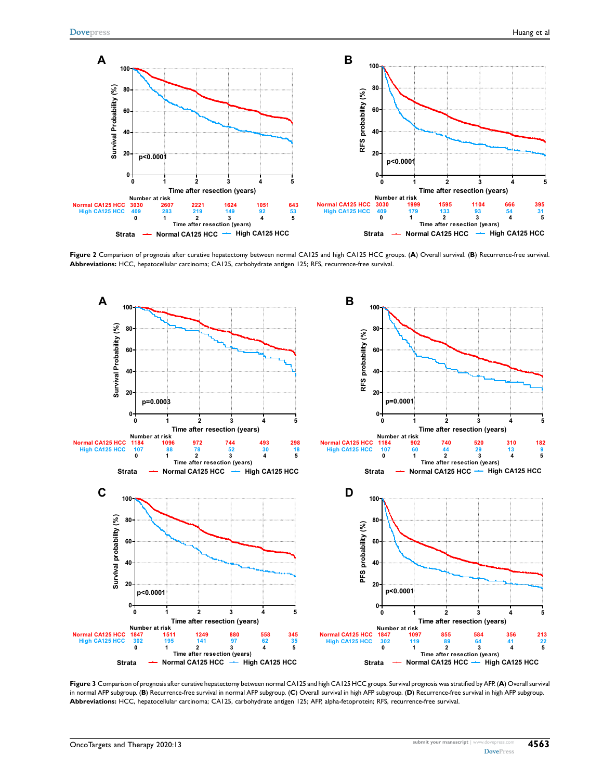<span id="page-4-0"></span>

Figure 2 Comparison of prognosis after curative hepatectomy between normal CA125 and high CA125 HCC groups. (A) Overall survival. (B) Recurrence-free survival. Abbreviations: HCC, hepatocellular carcinoma; CA125, carbohydrate antigen 125; RFS, recurrence-free survival.

<span id="page-4-1"></span>

Figure 3 Comparison of prognosis after curative hepatectomy between normal CA125 and high CA125 HCC groups. Survival prognosis was stratified by AFP. (A) Overall survival in normal AFP subgroup. (B) Recurrence-free survival in normal AFP subgroup. (C) Overall survival in high AFP subgroup. (D) Recurrence-free survival in high AFP subgroup. Abbreviations: HCC, hepatocellular carcinoma; CA125, carbohydrate antigen 125; AFP, alpha-fetoprotein; RFS, recurrence-free survival.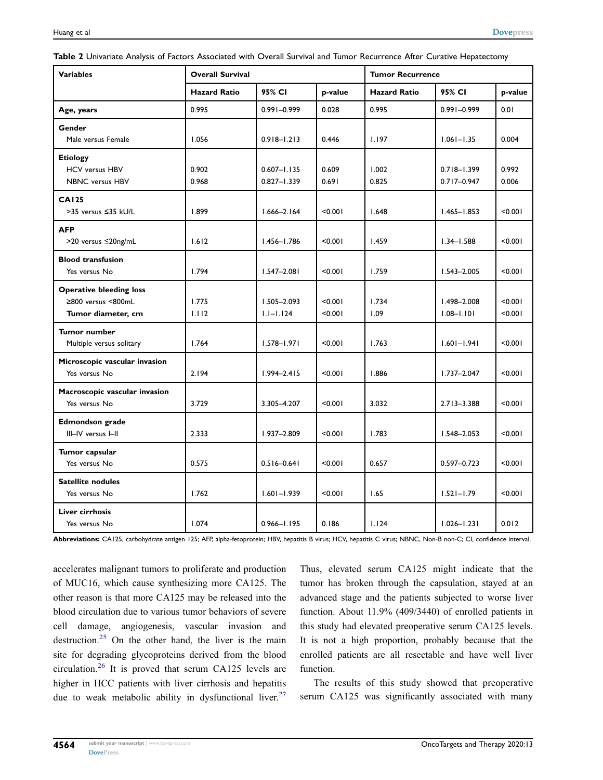<span id="page-5-0"></span>

|  |  | Table 2 Univariate Analysis of Factors Associated with Overall Survival and Tumor Recurrence After Curative Hepatectomy |  |
|--|--|-------------------------------------------------------------------------------------------------------------------------|--|
|--|--|-------------------------------------------------------------------------------------------------------------------------|--|

| <b>Variables</b>               | <b>Overall Survival</b> |                 |         | <b>Tumor Recurrence</b> |                 |         |
|--------------------------------|-------------------------|-----------------|---------|-------------------------|-----------------|---------|
|                                | <b>Hazard Ratio</b>     | 95% CI          | p-value | <b>Hazard Ratio</b>     | 95% CI          | p-value |
| Age, years                     | 0.995                   | $0.991 - 0.999$ | 0.028   | 0.995                   | $0.991 - 0.999$ | 0.01    |
| Gender                         |                         |                 |         |                         |                 |         |
| Male versus Female             | 1.056                   | $0.918 - 1.213$ | 0.446   | 1.197                   | $1.061 - 1.35$  | 0.004   |
| <b>Etiology</b>                |                         |                 |         |                         |                 |         |
| <b>HCV versus HBV</b>          | 0.902                   | $0.607 - 1.135$ | 0.609   | 1.002                   | $0.718 - 1.399$ | 0.992   |
| <b>NBNC</b> versus HBV         | 0.968                   | $0.827 - 1.339$ | 0.691   | 0.825                   | $0.717 - 0.947$ | 0.006   |
| <b>CA125</b>                   |                         |                 |         |                         |                 |         |
| >35 versus ≤35 kU/L            | 1.899                   | $1.666 - 2.164$ | < 0.001 | 1.648                   | $1.465 - 1.853$ | < 0.001 |
| <b>AFP</b>                     |                         |                 |         |                         |                 |         |
| >20 versus ≤20ng/mL            | 1.612                   | $1.456 - 1.786$ | < 0.001 | 1.459                   | $1.34 - 1.588$  | < 0.001 |
| <b>Blood transfusion</b>       |                         |                 |         |                         |                 |         |
| Yes versus No                  | 1.794                   | $1.547 - 2.081$ | < 0.001 | 1.759                   | $1.543 - 2.005$ | < 0.001 |
| <b>Operative bleeding loss</b> |                         |                 |         |                         |                 |         |
| ≥800 versus <800mL             | 1.775                   | $1.505 - 2.093$ | < 0.001 | 1.734                   | 1.498-2.008     | < 0.001 |
| Tumor diameter, cm             | 1.112                   | $1.1 - 1.124$   | < 0.001 | 1.09                    | $1.08 - 1.101$  | < 0.001 |
| <b>Tumor number</b>            |                         |                 |         |                         |                 |         |
| Multiple versus solitary       | 1.764                   | $1.578 - 1.971$ | < 0.001 | 1.763                   | $1.601 - 1.941$ | < 0.001 |
| Microscopic vascular invasion  |                         |                 |         |                         |                 |         |
| Yes versus No                  | 2.194                   | $1.994 - 2.415$ | < 0.001 | 1.886                   | $1.737 - 2.047$ | < 0.001 |
| Macroscopic vascular invasion  |                         |                 |         |                         |                 |         |
| Yes versus No                  | 3.729                   | 3.305-4.207     | < 0.001 | 3.032                   | $2.713 - 3.388$ | < 0.001 |
| Edmondson grade                |                         |                 |         |                         |                 |         |
| III-IV versus I-II             | 2.333                   | $1.937 - 2.809$ | < 0.001 | 1.783                   | $1.548 - 2.053$ | < 0.001 |
| Tumor capsular                 |                         |                 |         |                         |                 |         |
| Yes versus No                  | 0.575                   | $0.516 - 0.641$ | < 0.001 | 0.657                   | $0.597 - 0.723$ | < 0.001 |
| <b>Satellite nodules</b>       |                         |                 |         |                         |                 |         |
| Yes versus No                  | 1.762                   | $1.601 - 1.939$ | < 0.001 | 1.65                    | $1.521 - 1.79$  | < 0.001 |
| Liver cirrhosis                |                         |                 |         |                         |                 |         |
| Yes versus No                  | 1.074                   | $0.966 - 1.195$ | 0.186   | 1.124                   | $1.026 - 1.231$ | 0.012   |

Abbreviations: CA125, carbohydrate antigen 125; AFP, alpha-fetoprotein; HBV, hepatitis B virus; HCV, hepatitis C virus; NBNC, Non-B non-C; CI, confidence interval.

<span id="page-5-3"></span><span id="page-5-2"></span><span id="page-5-1"></span>accelerates malignant tumors to proliferate and production of MUC16, which cause synthesizing more CA125. The other reason is that more CA125 may be released into the blood circulation due to various tumor behaviors of severe cell damage, angiogenesis, vascular invasion and destruction.<sup>[25](#page-8-5)</sup> On the other hand, the liver is the main site for degrading glycoproteins derived from the blood circulation.[26](#page-8-6) It is proved that serum CA125 levels are higher in HCC patients with liver cirrhosis and hepatitis due to weak metabolic ability in dysfunctional liver.<sup>27</sup> Thus, elevated serum CA125 might indicate that the tumor has broken through the capsulation, stayed at an advanced stage and the patients subjected to worse liver function. About 11.9% (409/3440) of enrolled patients in this study had elevated preoperative serum CA125 levels. It is not a high proportion, probably because that the enrolled patients are all resectable and have well liver function.

The results of this study showed that preoperative serum CA125 was significantly associated with many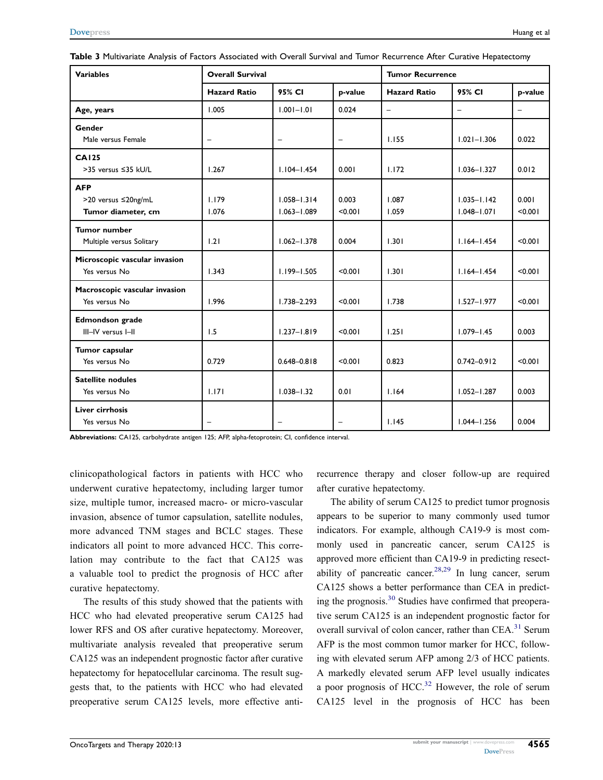| <b>Variables</b>              | <b>Overall Survival</b>  |                   |                   | <b>Tumor Recurrence</b>  |                          |                   |
|-------------------------------|--------------------------|-------------------|-------------------|--------------------------|--------------------------|-------------------|
|                               | <b>Hazard Ratio</b>      | 95% CI            | p-value           | <b>Hazard Ratio</b>      | 95% CI                   | p-value           |
| Age, years                    | 1.005                    | $1.001 - 1.01$    | 0.024             | $\overline{\phantom{m}}$ | $\overline{\phantom{0}}$ | $\qquad \qquad -$ |
| Gender                        |                          |                   |                   |                          |                          |                   |
| Male versus Female            | $\overline{\phantom{m}}$ | $\qquad \qquad -$ | $\qquad \qquad -$ | 1.155                    | $1.021 - 1.306$          | 0.022             |
| <b>CA125</b>                  |                          |                   |                   |                          |                          |                   |
| >35 versus ≤35 kU/L           | 1.267                    | $1.104 - 1.454$   | 0.001             | 1.172                    | $1.036 - 1.327$          | 0.012             |
| <b>AFP</b>                    |                          |                   |                   |                          |                          |                   |
| >20 versus ≤20ng/mL           | 1.179                    | $1.058 - 1.314$   | 0.003             | 1.087                    | $1.035 - 1.142$          | 0.001             |
| Tumor diameter, cm            | 1.076                    | $1.063 - 1.089$   | < 0.001           | 1.059                    | $1.048 - 1.071$          | < 0.001           |
| <b>Tumor number</b>           |                          |                   |                   |                          |                          |                   |
| Multiple versus Solitary      | 1.21                     | $1.062 - 1.378$   | 0.004             | 1.301                    | $1.164 - 1.454$          | < 0.001           |
| Microscopic vascular invasion |                          |                   |                   |                          |                          |                   |
| Yes versus No                 | 1.343                    | $1.199 - 1.505$   | < 0.001           | 1.301                    | $1.164 - 1.454$          | < 0.001           |
| Macroscopic vascular invasion |                          |                   |                   |                          |                          |                   |
| Yes versus No                 | 1.996                    | $1.738 - 2.293$   | < 0.001           | 1.738                    | $1.527 - 1.977$          | < 0.001           |
| <b>Edmondson</b> grade        |                          |                   |                   |                          |                          |                   |
| III-IV versus I-II            | 1.5                      | $1.237 - 1.819$   | < 0.001           | 1.251                    | $1.079 - 1.45$           | 0.003             |
| Tumor capsular                |                          |                   |                   |                          |                          |                   |
| Yes versus No                 | 0.729                    | $0.648 - 0.818$   | < 0.001           | 0.823                    | $0.742 - 0.912$          | < 0.001           |
| <b>Satellite nodules</b>      |                          |                   |                   |                          |                          |                   |
| Yes versus No                 | 1.171                    | $1.038 - 1.32$    | 0.01              | 1.164                    | $1.052 - 1.287$          | 0.003             |
| <b>Liver cirrhosis</b>        |                          |                   |                   |                          |                          |                   |
| Yes versus No                 | $\overline{\phantom{m}}$ |                   | $\qquad \qquad -$ | 1.145                    | $1.044 - 1.256$          | 0.004             |

<span id="page-6-0"></span>

| <b>Table 3</b> Multivariate Analysis of Factors Associated with Overall Survival and Tumor Recurrence After Curative Hepatectomy |
|----------------------------------------------------------------------------------------------------------------------------------|
|----------------------------------------------------------------------------------------------------------------------------------|

Abbreviations: CA125, carbohydrate antigen 125; AFP, alpha-fetoprotein; CI, confidence interval.

clinicopathological factors in patients with HCC who underwent curative hepatectomy, including larger tumor size, multiple tumor, increased macro- or micro-vascular invasion, absence of tumor capsulation, satellite nodules, more advanced TNM stages and BCLC stages. These indicators all point to more advanced HCC. This correlation may contribute to the fact that CA125 was a valuable tool to predict the prognosis of HCC after curative hepatectomy.

The results of this study showed that the patients with HCC who had elevated preoperative serum CA125 had lower RFS and OS after curative hepatectomy. Moreover, multivariate analysis revealed that preoperative serum CA125 was an independent prognostic factor after curative hepatectomy for hepatocellular carcinoma. The result suggests that, to the patients with HCC who had elevated preoperative serum CA125 levels, more effective antirecurrence therapy and closer follow-up are required after curative hepatectomy.

<span id="page-6-4"></span><span id="page-6-3"></span><span id="page-6-2"></span><span id="page-6-1"></span>The ability of serum CA125 to predict tumor prognosis appears to be superior to many commonly used tumor indicators. For example, although CA19-9 is most commonly used in pancreatic cancer, serum CA125 is approved more efficient than CA19-9 in predicting resect-ability of pancreatic cancer.<sup>28[,29](#page-8-9)</sup> In lung cancer, serum CA125 shows a better performance than CEA in predicting the prognosis.[30](#page-8-10) Studies have confirmed that preoperative serum CA125 is an independent prognostic factor for overall survival of colon cancer, rather than CEA.<sup>[31](#page-8-11)</sup> Serum AFP is the most common tumor marker for HCC, following with elevated serum AFP among 2/3 of HCC patients. A markedly elevated serum AFP level usually indicates a poor prognosis of  $HCC<sup>32</sup>$  $HCC<sup>32</sup>$  $HCC<sup>32</sup>$  However, the role of serum CA125 level in the prognosis of HCC has been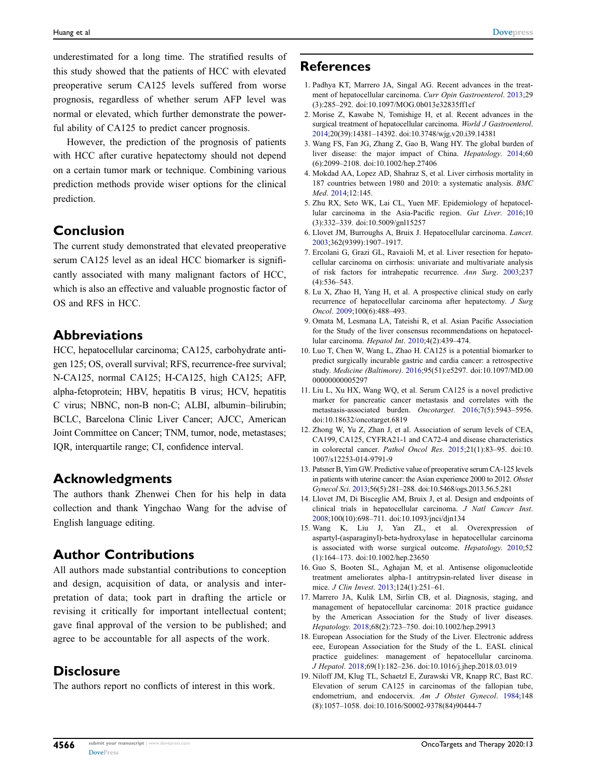underestimated for a long time. The stratified results of this study showed that the patients of HCC with elevated preoperative serum CA125 levels suffered from worse prognosis, regardless of whether serum AFP level was normal or elevated, which further demonstrate the powerful ability of CA125 to predict cancer prognosis.

However, the prediction of the prognosis of patients with HCC after curative hepatectomy should not depend on a certain tumor mark or technique. Combining various prediction methods provide wiser options for the clinical prediction.

#### Conclusion

The current study demonstrated that elevated preoperative serum CA125 level as an ideal HCC biomarker is significantly associated with many malignant factors of HCC, which is also an effective and valuable prognostic factor of OS and RFS in HCC.

#### Abbreviations

HCC, hepatocellular carcinoma; CA125, carbohydrate antigen 125; OS, overall survival; RFS, recurrence-free survival; N-CA125, normal CA125; H-CA125, high CA125; AFP, alpha-fetoprotein; HBV, hepatitis B virus; HCV, hepatitis C virus; NBNC, non-B non-C; ALBI, albumin–bilirubin; BCLC, Barcelona Clinic Liver Cancer; AJCC, American Joint Committee on Cancer; TNM, tumor, node, metastases; IQR, interquartile range; CI, confidence interval.

#### Acknowledgments

The authors thank Zhenwei Chen for his help in data collection and thank Yingchao Wang for the advise of English language editing.

#### Author Contributions

All authors made substantial contributions to conception and design, acquisition of data, or analysis and interpretation of data; took part in drafting the article or revising it critically for important intellectual content; gave final approval of the version to be published; and agree to be accountable for all aspects of the work.

#### **Disclosure**

The authors report no conflicts of interest in this work.

#### **References**

- <span id="page-7-0"></span>1. Padhya KT, Marrero JA, Singal AG. Recent advances in the treatment of hepatocellular carcinoma. Curr Opin Gastroenterol. [2013](#page-0-5);29 (3):285–292. doi:[10.1097/MOG.0b013e32835ff1cf](https://doi.org/10.1097/MOG.0b013e32835ff1cf)
- <span id="page-7-1"></span>2. Morise Z, Kawabe N, Tomishige H, et al. Recent advances in the surgical treatment of hepatocellular carcinoma. World J Gastroenterol. [2014](#page-0-5);20(39):14381–14392. doi:[10.3748/wjg.v20.i39.14381](https://doi.org/10.3748/wjg.v20.i39.14381)
- <span id="page-7-2"></span>3. Wang FS, Fan JG, Zhang Z, Gao B, Wang HY. The global burden of liver disease: the major impact of China. Hepatology. [2014](#page-0-6);60 (6):2099–2108. doi:[10.1002/hep.27406](https://doi.org/10.1002/hep.27406)
- <span id="page-7-3"></span>4. Mokdad AA, Lopez AD, Shahraz S, et al. Liver cirrhosis mortality in 187 countries between 1980 and 2010: a systematic analysis. BMC Med. [2014](#page-0-7);12:145.
- <span id="page-7-4"></span>5. Zhu RX, Seto WK, Lai CL, Yuen MF. Epidemiology of hepatocellular carcinoma in the Asia-Pacific region. Gut Liver. [2016](#page-0-6);10 (3):332–339. doi:[10.5009/gnl15257](https://doi.org/10.5009/gnl15257)
- <span id="page-7-5"></span>6. Llovet JM, Burroughs A, Bruix J. Hepatocellular carcinoma. Lancet. [2003](#page-0-8);362(9399):1907–1917.
- <span id="page-7-6"></span>7. Ercolani G, Grazi GL, Ravaioli M, et al. Liver resection for hepatocellular carcinoma on cirrhosis: univariate and multivariate analysis of risk factors for intrahepatic recurrence. Ann Surg. [2003](#page-0-9);237 (4):536–543.
- 8. Lu X, Zhao H, Yang H, et al. A prospective clinical study on early recurrence of hepatocellular carcinoma after hepatectomy. J Surg Oncol. 2009;100(6):488–493.
- <span id="page-7-7"></span>9. Omata M, Lesmana LA, Tateishi R, et al. Asian Pacific Association for the Study of the liver consensus recommendations on hepatocellular carcinoma. Hepatol Int. [2010;](#page-0-9)4(2):439–474.
- <span id="page-7-8"></span>10. Luo T, Chen W, Wang L, Zhao H. CA125 is a potential biomarker to predict surgically incurable gastric and cardia cancer: a retrospective study. Medicine (Baltimore). [2016](#page-1-0);95(51):e5297. doi:[10.1097/MD.00](https://doi.org/10.1097/MD.0000000000005297) [00000000005297](https://doi.org/10.1097/MD.0000000000005297)
- <span id="page-7-9"></span>11. Liu L, Xu HX, Wang WQ, et al. Serum CA125 is a novel predictive marker for pancreatic cancer metastasis and correlates with the metastasis-associated burden. Oncotarget. [2016;](#page-1-0)7(5):5943–5956. doi:[10.18632/oncotarget.6819](https://doi.org/10.18632/oncotarget.6819)
- <span id="page-7-10"></span>12. Zhong W, Yu Z, Zhan J, et al. Association of serum levels of CEA, CA199, CA125, CYFRA21-1 and CA72-4 and disease characteristics in colorectal cancer. Pathol Oncol Res. [2015](#page-1-1);21(1):83–95. doi:[10.](https://doi.org/10.1007/s12253-014-9791-9) [1007/s12253-014-9791-9](https://doi.org/10.1007/s12253-014-9791-9)
- <span id="page-7-11"></span>13. Patsner B, Yim GW. Predictive value of preoperative serum CA-125 levels in patients with uterine cancer: the Asian experience 2000 to 2012. Obstet Gynecol Sci. [2013](#page-1-1);56(5):281–288. doi:[10.5468/ogs.2013.56.5.281](https://doi.org/10.5468/ogs.2013.56.5.281)
- <span id="page-7-12"></span>14. Llovet JM, Di Bisceglie AM, Bruix J, et al. Design and endpoints of clinical trials in hepatocellular carcinoma. J Natl Cancer Inst. [2008](#page-1-2);100(10):698–711. doi:[10.1093/jnci/djn134](https://doi.org/10.1093/jnci/djn134)
- <span id="page-7-13"></span>15. Wang K, Liu J, Yan ZL, et al. Overexpression of aspartyl-(asparaginyl)-beta-hydroxylase in hepatocellular carcinoma is associated with worse surgical outcome. Hepatology. [2010](#page-1-3);52 (1):164–173. doi:[10.1002/hep.23650](https://doi.org/10.1002/hep.23650)
- <span id="page-7-14"></span>16. Guo S, Booten SL, Aghajan M, et al. Antisense oligonucleotide treatment ameliorates alpha-1 antitrypsin-related liver disease in mice. J Clin Invest. [2013;](#page-1-4)124(1):251–61.
- <span id="page-7-15"></span>17. Marrero JA, Kulik LM, Sirlin CB, et al. Diagnosis, staging, and management of hepatocellular carcinoma: 2018 practice guidance by the American Association for the Study of liver diseases. Hepatology. [2018;](#page-1-5)68(2):723–750. doi:[10.1002/hep.29913](https://doi.org/10.1002/hep.29913)
- <span id="page-7-16"></span>18. European Association for the Study of the Liver. Electronic address eee, European Association for the Study of the L. EASL clinical practice guidelines: management of hepatocellular carcinoma. J Hepatol. [2018](#page-1-6);69(1):182–236. doi:[10.1016/j.jhep.2018.03.019](https://doi.org/10.1016/j.jhep.2018.03.019)
- <span id="page-7-17"></span>19. Niloff JM, Klug TL, Schaetzl E, Zurawski VR, Knapp RC, Bast RC. Elevation of serum CA125 in carcinomas of the fallopian tube, endometrium, and endocervix. Am J Obstet Gynecol. [1984](#page-3-0);148 (8):1057–1058. doi:[10.1016/S0002-9378\(84\)90444-7](https://doi.org/10.1016/S0002-9378(84)90444-7)